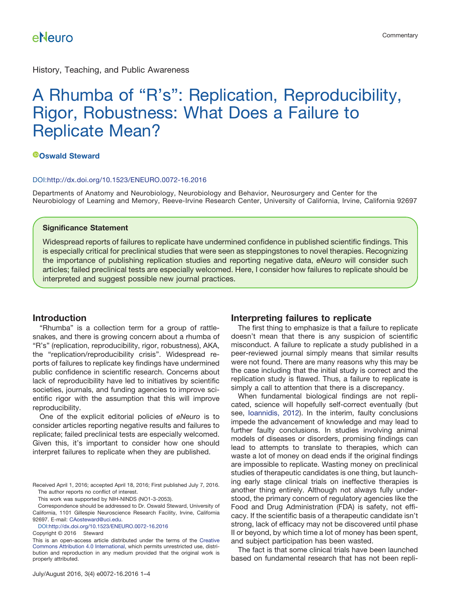History, Teaching, and Public Awareness

# A Rhumba of "R's": Replication, Reproducibility, Rigor, Robustness: What Does a Failure to Replicate Mean?

### **[Oswald Steward](http://orcid.org/0000-0001-7069-8756)**

#### DOI[:http://dx.doi.org/10.1523/ENEURO.0072-16.2016](http://dx.doi.org/10.1523/ENEURO.0072-16.2016)

Departments of Anatomy and Neurobiology, Neurobiology and Behavior, Neurosurgery and Center for the Neurobiology of Learning and Memory, Reeve-Irvine Research Center, University of California, Irvine, California 92697

#### **Significance Statement**

Widespread reports of failures to replicate have undermined confidence in published scientific findings. This is especially critical for preclinical studies that were seen as steppingstones to novel therapies. Recognizing the importance of publishing replication studies and reporting negative data, *eNeuro* will consider such articles; failed preclinical tests are especially welcomed. Here, I consider how failures to replicate should be interpreted and suggest possible new journal practices.

### **Introduction**

"Rhumba" is a collection term for a group of rattlesnakes, and there is growing concern about a rhumba of "R's" (replication, reproducibility, rigor, robustness), AKA, the "replication/reproducibility crisis". Widespread reports of failures to replicate key findings have undermined public confidence in scientific research. Concerns about lack of reproducibility have led to initiatives by scientific societies, journals, and funding agencies to improve scientific rigor with the assumption that this will improve reproducibility.

One of the explicit editorial policies of *eNeuro* is to consider articles reporting negative results and failures to replicate; failed preclinical tests are especially welcomed. Given this, it's important to consider how one should interpret failures to replicate when they are published.

Copyright © 2016 Steward

### **Interpreting failures to replicate**

The first thing to emphasize is that a failure to replicate doesn't mean that there is any suspicion of scientific misconduct. A failure to replicate a study published in a peer-reviewed journal simply means that similar results were not found. There are many reasons why this may be the case including that the initial study is correct and the replication study is flawed. Thus, a failure to replicate is simply a call to attention that there is a discrepancy.

When fundamental biological findings are not replicated, science will hopefully self-correct eventually (but see, [Ioannidis, 2012\)](#page-3-0). In the interim, faulty conclusions impede the advancement of knowledge and may lead to further faulty conclusions. In studies involving animal models of diseases or disorders, promising findings can lead to attempts to translate to therapies, which can waste a lot of money on dead ends if the original findings are impossible to replicate. Wasting money on preclinical studies of therapeutic candidates is one thing, but launching early stage clinical trials on ineffective therapies is another thing entirely. Although not always fully understood, the primary concern of regulatory agencies like the Food and Drug Administration (FDA) is safety, not efficacy. If the scientific basis of a therapeutic candidate isn't strong, lack of efficacy may not be discovered until phase II or beyond, by which time a lot of money has been spent, and subject participation has been wasted.

The fact is that some clinical trials have been launched based on fundamental research that has not been repli-

Received April 1, 2016; accepted April 18, 2016; First published July 7, 2016. The author reports no conflict of interest.

This work was supported by NIH-NINDS (NO1-3-2053).

Correspondence should be addressed to Dr. Oswald Steward, University of California, 1101 Gillespie Neuroscience Research Facility, Irvine, California 92697. E-mail: [CAosteward@uci.edu.](mailto:CAosteward@uci.edu)

DOI[:http://dx.doi.org/10.1523/ENEURO.0072-16.2016](http://dx.doi.org/10.1523/ENEURO.0072-16.2016)

This is an open-access article distributed under the terms of the [Creative](http://creativecommons.org/licenses/by/4.0/) [Commons Attribution 4.0 International,](http://creativecommons.org/licenses/by/4.0/) which permits unrestricted use, distribution and reproduction in any medium provided that the original work is properly attributed.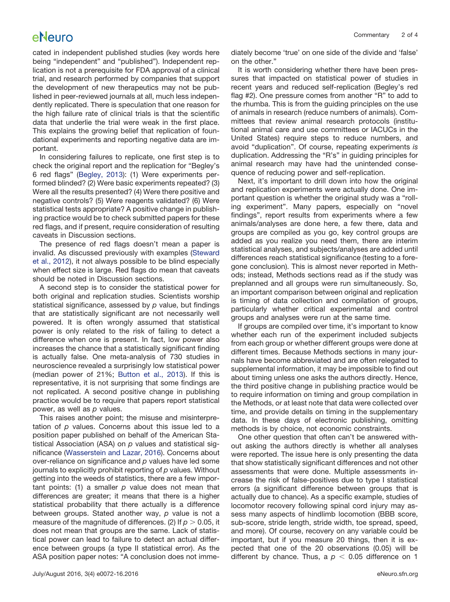# eNeuro

cated in independent published studies (key words here being "independent" and "published"). Independent replication is not a prerequisite for FDA approval of a clinical trial, and research performed by companies that support the development of new therapeutics may not be published in peer-reviewed journals at all, much less independently replicated. There is speculation that one reason for the high failure rate of clinical trials is that the scientific data that underlie the trial were weak in the first place. This explains the growing belief that replication of foundational experiments and reporting negative data are important.

In considering failures to replicate, one first step is to check the original report and the replication for "Begley's 6 red flags" [\(Begley, 2013\)](#page-3-1): (1) Were experiments performed blinded? (2) Were basic experiments repeated? (3) Were all the results presented? (4) Were there positive and negative controls? (5) Were reagents validated? (6) Were statistical tests appropriate? A positive change in publishing practice would be to check submitted papers for these red flags, and if present, require consideration of resulting caveats in Discussion sections.

The presence of red flags doesn't mean a paper is invalid. As discussed previously with examples [\(Steward](#page-3-2) [et al., 2012\)](#page-3-2), it not always possible to be blind especially when effect size is large. Red flags do mean that caveats should be noted in Discussion sections.

A second step is to consider the statistical power for both original and replication studies. Scientists worship statistical significance, assessed by *p* value, but findings that are statistically significant are not necessarily well powered. It is often wrongly assumed that statistical power is only related to the risk of failing to detect a difference when one is present. In fact, low power also increases the chance that a statistically significant finding is actually false. One meta-analysis of 730 studies in neuroscience revealed a surprisingly low statistical power (median power of 21%; [Button et al., 2013\)](#page-3-3). If this is representative, it is not surprising that some findings are not replicated. A second positive change in publishing practice would be to require that papers report statistical power, as well as *p* values.

This raises another point; the misuse and misinterpretation of *p* values. Concerns about this issue led to a position paper published on behalf of the American Statistical Association (ASA) on *p* values and statistical significance [\(Wasserstein and Lazar, 2016\)](#page-3-4). Concerns about over-reliance on significance and *p* values have led some journals to explicitly prohibit reporting of *p* values. Without getting into the weeds of statistics, there are a few important points: (1) a smaller *p* value does not mean that differences are greater; it means that there is a higher statistical probability that there actually is a difference between groups. Stated another way, *p* value is not a measure of the magnitude of differences. (2) If  $\rho$   $>$  0.05, it does not mean that groups are the same. Lack of statistical power can lead to failure to detect an actual difference between groups (a type II statistical error). As the ASA position paper notes: "A conclusion does not imme-

July/August 2016, 3(4) e0072-16.2016 eNeuro.sfn.org

diately become 'true' on one side of the divide and 'false' on the other."

It is worth considering whether there have been pressures that impacted on statistical power of studies in recent years and reduced self-replication (Begley's red flag #2). One pressure comes from another "R" to add to the rhumba. This is from the guiding principles on the use of animals in research (reduce numbers of animals). Committees that review animal research protocols (institutional animal care and use committees or IACUCs in the United States) require steps to reduce numbers, and avoid "duplication". Of course, repeating experiments *is* duplication. Addressing the "R's" in guiding principles for animal research may have had the unintended consequence of reducing power and self-replication.

Next, it's important to drill down into how the original and replication experiments were actually done. One important question is whether the original study was a "rolling experiment". Many papers, especially on "novel findings", report results from experiments where a few animals/analyses are done here, a few there, data and groups are compiled as you go, key control groups are added as you realize you need them, there are interim statistical analyses, and subjects/analyses are added until differences reach statistical significance (testing to a foregone conclusion). This is almost never reported in Methods; instead, Methods sections read as if the study was preplanned and all groups were run simultaneously. So, an important comparison between original and replication is timing of data collection and compilation of groups, particularly whether critical experimental and control groups and analyses were run at the same time.

If groups are compiled over time, it's important to know whether each run of the experiment included subjects from each group or whether different groups were done at different times. Because Methods sections in many journals have become abbreviated and are often relegated to supplemental information, it may be impossible to find out about timing unless one asks the authors directly. Hence, the third positive change in publishing practice would be to require information on timing and group compilation in the Methods, or at least note that data were collected over time, and provide details on timing in the supplementary data. In these days of electronic publishing, omitting methods is by choice, not economic constraints.

One other question that often can't be answered without asking the authors directly is whether all analyses were reported. The issue here is only presenting the data that show statistically significant differences and not other assessments that were done. Multiple assessments increase the risk of false-positives due to type I statistical errors (a significant difference between groups that is actually due to chance). As a specific example, studies of locomotor recovery following spinal cord injury may assess many aspects of hindlimb locomotion (BBB score, sub-score, stride length, stride width, toe spread, speed, and more). Of course, recovery on any variable could be important, but if you measure 20 things, then it is expected that one of the 20 observations (0.05) will be different by chance. Thus, a  $p < 0.05$  difference on 1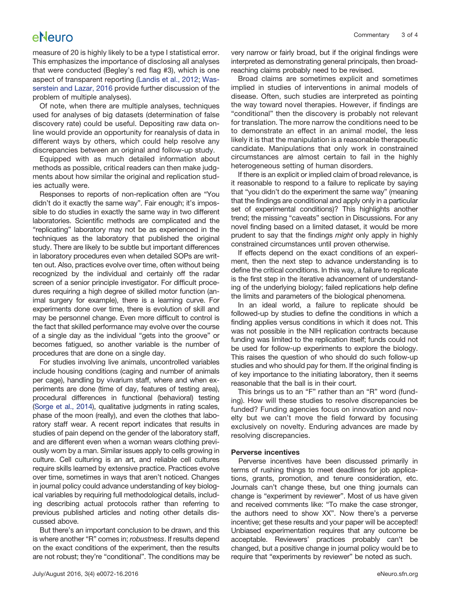# eNeuro

measure of 20 is highly likely to be a type I statistical error. This emphasizes the importance of disclosing all analyses that were conducted (Begley's red flag #3), which is one aspect of transparent reporting [\(Landis et al., 2012;](#page-3-5) [Was](#page-3-4)[serstein and Lazar, 2016](#page-3-4) provide further discussion of the problem of multiple analyses).

Of note, when there are multiple analyses, techniques used for analyses of big datasets (determination of false discovery rate) could be useful. Depositing raw data online would provide an opportunity for reanalysis of data in different ways by others, which could help resolve any discrepancies between an original and follow-up study.

Equipped with as much detailed information about methods as possible, critical readers can then make judgments about how similar the original and replication studies actually were.

Responses to reports of non-replication often are "You didn't do it exactly the same way". Fair enough; it's impossible to do studies in exactly the same way in two different laboratories. Scientific methods are complicated and the "replicating" laboratory may not be as experienced in the techniques as the laboratory that published the original study. There are likely to be subtle but important differences in laboratory procedures even when detailed SOPs are written out. Also, practices evolve over time, often without being recognized by the individual and certainly off the radar screen of a senior principle investigator. For difficult procedures requiring a high degree of skilled motor function (animal surgery for example), there is a learning curve. For experiments done over time, there is evolution of skill and may be personnel change. Even more difficult to control is the fact that skilled performance may evolve over the course of a single day as the individual "gets into the groove" or becomes fatigued, so another variable is the number of procedures that are done on a single day.

For studies involving live animals, uncontrolled variables include housing conditions (caging and number of animals per cage), handling by vivarium staff, where and when experiments are done (time of day, features of testing area), procedural differences in functional (behavioral) testing [\(Sorge et al., 2014\)](#page-3-6), qualitative judgments in rating scales, phase of the moon (really), and even the clothes that laboratory staff wear. A recent report indicates that results in studies of pain depend on the gender of the laboratory staff, and are different even when a woman wears clothing previously worn by a man. Similar issues apply to cells growing in culture. Cell culturing is an art, and reliable cell cultures require skills learned by extensive practice. Practices evolve over time, sometimes in ways that aren't noticed. Changes in journal policy could advance understanding of key biological variables by requiring full methodological details, including describing actual protocols rather than referring to previous published articles and noting other details discussed above.

But there's an important conclusion to be drawn, and this is where another "R" comes in; *robustness*. If results depend on the exact conditions of the experiment, then the results are not robust; they're "conditional". The conditions may be

very narrow or fairly broad, but if the original findings were interpreted as demonstrating general principals, then broadreaching claims probably need to be revised.

Broad claims are sometimes explicit and sometimes implied in studies of interventions in animal models of disease. Often, such studies are interpreted as pointing the way toward novel therapies. However, if findings are "conditional" then the discovery is probably not relevant for translation. The more narrow the conditions need to be to demonstrate an effect in an animal model, the less likely it is that the manipulation is a reasonable therapeutic candidate. Manipulations that only work in constrained circumstances are almost certain to fail in the highly heterogeneous setting of human disorders.

If there is an explicit or implied claim of broad relevance, is it reasonable to respond to a failure to replicate by saying that "you didn't do the experiment the same way" (meaning that the findings are conditional and apply only in a particular set of experimental conditions)? This highlights another trend; the missing "caveats" section in Discussions. For any novel finding based on a limited dataset, it would be more prudent to say that the findings *might* only apply in highly constrained circumstances until proven otherwise.

If effects depend on the exact conditions of an experiment, then the next step to advance understanding is to define the critical conditions. In this way, a failure to replicate is the first step in the iterative advancement of understanding of the underlying biology; failed replications help define the limits and parameters of the biological phenomena.

In an ideal world, a failure to replicate should be followed-up by studies to define the conditions in which a finding applies versus conditions in which it does not. This was not possible in the NIH replication contracts because funding was limited to the replication itself; funds could not be used for follow-up experiments to explore the biology. This raises the question of who should do such follow-up studies and who should pay for them. If the original finding is of key importance to the initiating laboratory, then it seems reasonable that the ball is in their court.

This brings us to an "F" rather than an "R" word (funding). How will these studies to resolve discrepancies be funded? Funding agencies focus on innovation and novelty but we can't move the field forward by focusing exclusively on novelty. Enduring advances are made by resolving discrepancies.

### **Perverse incentives**

Perverse incentives have been discussed primarily in terms of rushing things to meet deadlines for job applications, grants, promotion, and tenure consideration, etc. Journals can't change these, but one thing journals can change is "experiment by reviewer". Most of us have given and received comments like: "To make the case stronger, the authors need to show XX". Now there's a perverse incentive; get these results and your paper will be accepted! Unbiased experimentation requires that any outcome be acceptable. Reviewers' practices probably can't be changed, but a positive change in journal policy would be to require that "experiments by reviewer" be noted as such.